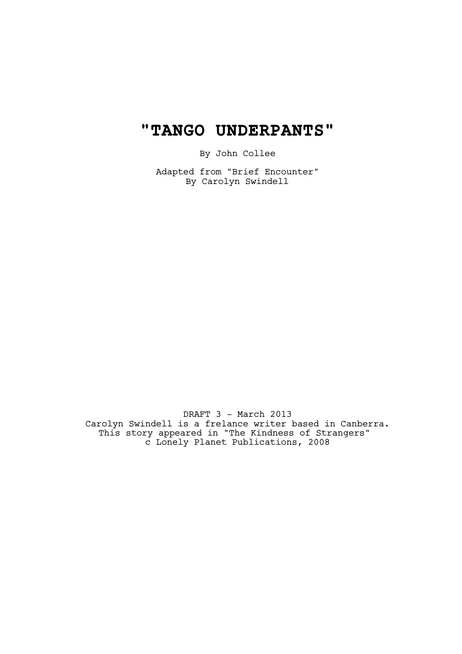# **"TANGO UNDERPANTS"**

By John Collee

Adapted from "Brief Encounter" By Carolyn Swindell

DRAFT 3 - March 2013 Carolyn Swindell is a frelance writer based in Canberra. This story appeared in "The Kindness of Strangers" c Lonely Planet Publications, 2008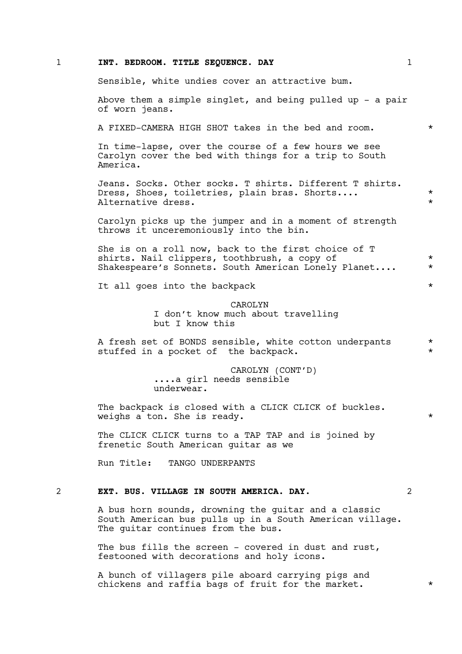#### 1 **INT. BEDROOM. TITLE SEQUENCE. DAY** 1

Sensible, white undies cover an attractive bum.

Above them a simple singlet, and being pulled up  $-$  a pair of worn jeans.

A FIXED-CAMERA HIGH SHOT takes in the bed and room. \*

In time-lapse, over the course of a few hours we see Carolyn cover the bed with things for a trip to South America.

Jeans. Socks. Other socks. T shirts. Different T shirts. Dress, Shoes, toiletries, plain bras. Shorts.... \* Alternative dress.

Carolyn picks up the jumper and in a moment of strength throws it unceremoniously into the bin.

She is on a roll now, back to the first choice of T shirts. Nail clippers, toothbrush, a copy of  $*$ Shakespeare's Sonnets. South American Lonely Planet.... \*

It all goes into the backpack  $*$ 

CAROLYN I don't know much about travelling but I know this

A fresh set of BONDS sensible, white cotton underpants \* stuffed in a pocket of the backpack.

> CAROLYN (CONT'D) ....a girl needs sensible underwear.

The backpack is closed with a CLICK CLICK of buckles. weighs a ton. She is ready.

The CLICK CLICK turns to a TAP TAP and is joined by frenetic South American guitar as we

Run Title: TANGO UNDERPANTS

#### 2 **EXT. BUS. VILLAGE IN SOUTH AMERICA. DAY.** 2

A bus horn sounds, drowning the guitar and a classic South American bus pulls up in a South American village. The guitar continues from the bus.

The bus fills the screen - covered in dust and rust, festooned with decorations and holy icons.

A bunch of villagers pile aboard carrying pigs and chickens and raffia bags of fruit for the market.  $*$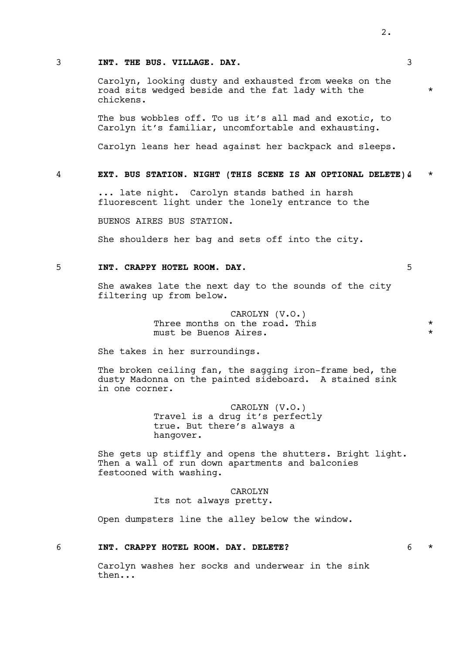#### 3 **INT. THE BUS. VILLAGE. DAY.** 3

Carolyn, looking dusty and exhausted from weeks on the road sits wedged beside and the fat lady with the \* chickens.

The bus wobbles off. To us it's all mad and exotic, to Carolyn it's familiar, uncomfortable and exhausting.

Carolyn leans her head against her backpack and sleeps.

# 4 **EXT. BUS STATION. NIGHT (THIS SCENE IS AN OPTIONAL DELETE).**4 \*

... late night. Carolyn stands bathed in harsh fluorescent light under the lonely entrance to the

BUENOS AIRES BUS STATION.

She shoulders her bag and sets off into the city.

# 5 **INT. CRAPPY HOTEL ROOM. DAY.** 5

She awakes late the next day to the sounds of the city filtering up from below.

> CAROLYN (V.O.) Three months on the road. This the second the second  $*$ must be Buenos Aires. \*

She takes in her surroundings.

The broken ceiling fan, the sagging iron-frame bed, the dusty Madonna on the painted sideboard. A stained sink in one corner.

> CAROLYN (V.O.) Travel is a drug it's perfectly true. But there's always a hangover.

She gets up stiffly and opens the shutters. Bright light. Then a wall of run down apartments and balconies festooned with washing.

> CAROLYN Its not always pretty.

Open dumpsters line the alley below the window.

#### 6 **INT. CRAPPY HOTEL ROOM. DAY. DELETE?** 6 \*

Carolyn washes her socks and underwear in the sink then...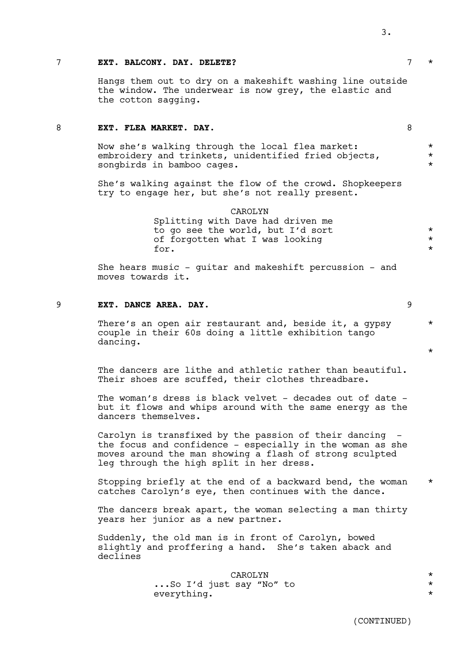#### 7 **EXT. BALCONY. DAY. DELETE?** 7 \*

Hangs them out to dry on a makeshift washing line outside the window. The underwear is now grey, the elastic and the cotton sagging.

# 8 **EXT. FLEA MARKET. DAY.** 8

Now she's walking through the local flea market:  $*$ embroidery and trinkets, unidentified fried objects,  $*$ songbirds in bamboo cages.

She's walking against the flow of the crowd. Shopkeepers try to engage her, but she's not really present.

> CAROLYN Splitting with Dave had driven me to go see the world, but I'd sort  $*$ of forgotten what I was looking \* for  $\star$

She hears music - guitar and makeshift percussion - and moves towards it.

# 9 **EXT. DANCE AREA. DAY.** 9

There's an open air restaurant and, beside it, a gypsy \* couple in their 60s doing a little exhibition tango dancing.

The dancers are lithe and athletic rather than beautiful. Their shoes are scuffed, their clothes threadbare.

The woman's dress is black velvet - decades out of date but it flows and whips around with the same energy as the dancers themselves.

Carolyn is transfixed by the passion of their dancing the focus and confidence - especially in the woman as she moves around the man showing a flash of strong sculpted leg through the high split in her dress.

Stopping briefly at the end of a backward bend, the woman \* catches Carolyn's eye, then continues with the dance.

The dancers break apart, the woman selecting a man thirty years her junior as a new partner.

Suddenly, the old man is in front of Carolyn, bowed slightly and proffering a hand. She's taken aback and declines

> CAROLYN \* ...So I'd just say "No" to \* everything.

\*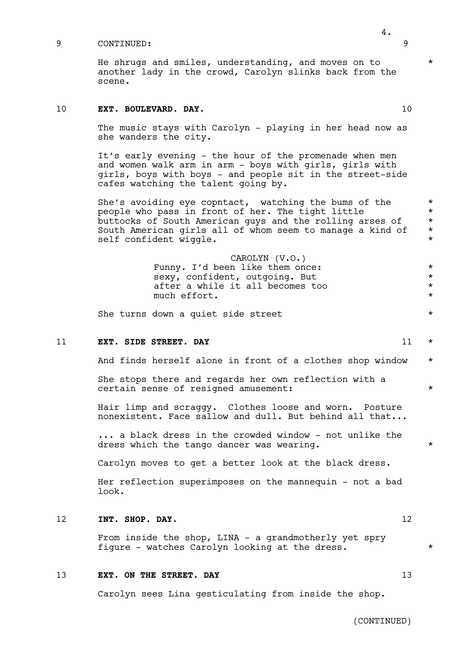He shrugs and smiles, understanding, and moves on to  $*$ another lady in the crowd, Carolyn slinks back from the scene.

# 10 **EXT. BOULEVARD. DAY.** 10

The music stays with Carolyn - playing in her head now as she wanders the city.

It's early evening - the hour of the promenade when men and women walk arm in arm - boys with girls, girls with girls, boys with boys - and people sit in the street-side cafes watching the talent going by.

She's avoiding eye copntact, watching the bums of the  $*$ people who pass in front of her. The tight little \* buttocks of South American guys and the rolling arses of  $*$ South American girls all of whom seem to manage a kind of  $*$ self confident wiggle.  $\star$ 

> CAROLYN (V.O.) Funny. I'd been like them once: \* \* sexy, confident, outgoing. But  $*$ after a while it all becomes too  $*$ <br>much effort. much effort.

She turns down a quiet side street  $*$ 

#### 11 **EXT. SIDE STREET. DAY** 11  $\star$

And finds herself alone in front of a clothes shop window \*

She stops there and regards her own reflection with a certain sense of resigned amusement:

Hair limp and scraggy. Clothes loose and worn. Posture nonexistent. Face sallow and dull. But behind all that...

... a black dress in the crowded window - not unlike the dress which the tango dancer was wearing.  $*$ 

Carolyn moves to get a better look at the black dress.

Her reflection superimposes on the mannequin - not a bad look.

### 12 **INT. SHOP. DAY.** 12

From inside the shop, LINA - a grandmotherly yet spry figure - watches Carolyn looking at the dress. \*

# 13 **EXT. ON THE STREET. DAY** 13

Carolyn sees Lina gesticulating from inside the shop.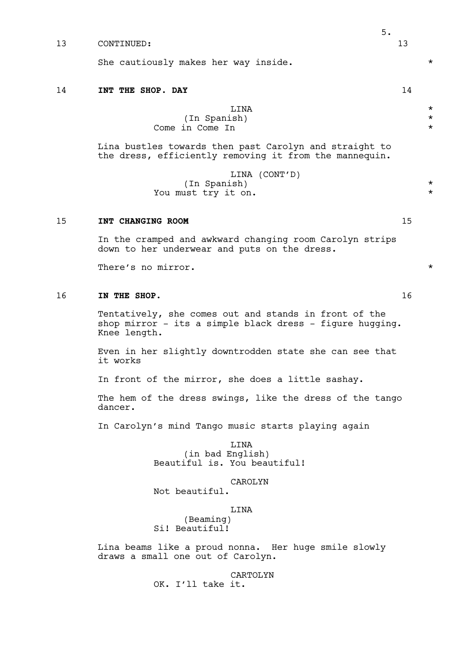13 CONTINUED: 13 13

She cautiously makes her way inside.  $\star$ 

#### 14 **INT THE SHOP. DAY** 14

LINA  $\star$ (In Spanish) \* Come in Come In  $\star$ 

Lina bustles towards then past Carolyn and straight to the dress, efficiently removing it from the mannequin.

> LINA (CONT'D)  $(\text{In Spanish})$  \* You must try it on.

# 15 **INT CHANGING ROOM** 15

In the cramped and awkward changing room Carolyn strips down to her underwear and puts on the dress.

There's no mirror.

# 16 **IN THE SHOP.** 16

Tentatively, she comes out and stands in front of the shop mirror - its a simple black dress - figure hugging. Knee length.

Even in her slightly downtrodden state she can see that it works

In front of the mirror, she does a little sashay.

The hem of the dress swings, like the dress of the tango dancer.

In Carolyn's mind Tango music starts playing again

LINA (in bad English) Beautiful is. You beautiful!

# CAROLYN

Not beautiful.

LINA

(Beaming) Si! Beautiful!

Lina beams like a proud nonna. Her huge smile slowly draws a small one out of Carolyn.

> CARTOLYN OK. I'll take it.

5.

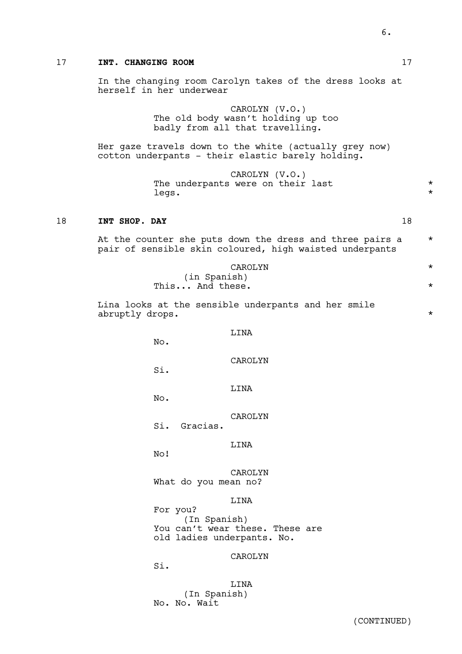# 17 **INT. CHANGING ROOM** 17

In the changing room Carolyn takes of the dress looks at herself in her underwear

> CAROLYN (V.O.) The old body wasn't holding up too badly from all that travelling.

Her gaze travels down to the white (actually grey now) cotton underpants - their elastic barely holding.

> CAROLYN (V.O.) The underpants were on their last  $\star$ <br>legs legs. \*

# 18 **INT SHOP. DAY** 18

|  | At the counter she puts down the dress and three pairs a |  |  |  |  |  |
|--|----------------------------------------------------------|--|--|--|--|--|
|  | pair of sensible skin coloured, high waisted underpants  |  |  |  |  |  |

| CAROLYN         |  |
|-----------------|--|
| (in Spanish)    |  |
| This And these. |  |

Lina looks at the sensible underpants and her smile abruptly drops.  $\star$ 

LINA

No.

CAROLYN

Si.

LINA

No.

CAROLYN

Si. Gracias.

LINA

No!

CAROLYN What do you mean no?

LINA

For you? (In Spanish) You can't wear these. These are old ladies underpants. No.

CAROLYN

Si.

**T.TNA** (In Spanish) No. No. Wait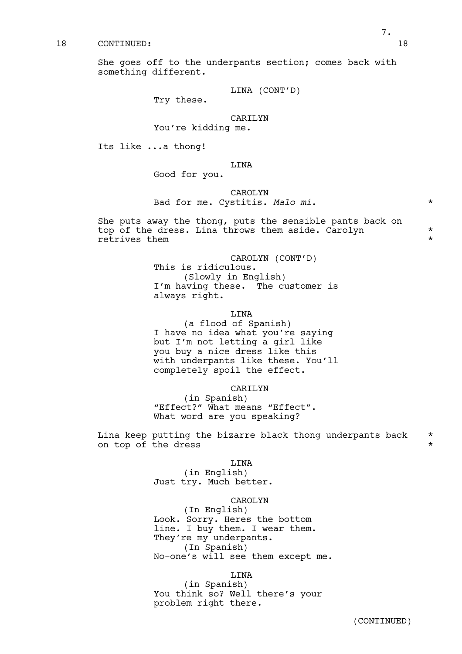She goes off to the underpants section; comes back with something different.

LINA (CONT'D)

Try these.

#### CARILYN

# You're kidding me.

Its like ...a thong!

#### LINA

Good for you.

### CAROLYN

# Bad for me. Cystitis. *Malo mi*. \*

She puts away the thong, puts the sensible pants back on top of the dress. Lina throws them aside. Carolyn \* retrives them  $\star$ 

#### CAROLYN (CONT'D)

This is ridiculous. (Slowly in English) I'm having these. The customer is always right.

#### LINA

(a flood of Spanish) I have no idea what you're saying but I'm not letting a girl like you buy a nice dress like this with underpants like these. You'll completely spoil the effect.

#### CARILYN

(in Spanish) "Effect?" What means "Effect". What word are you speaking?

Lina keep putting the bizarre black thong underpants back  $\quad$  \* on top of the dress  $\star$ 

# LINA

(in English) Just try. Much better.

#### CAROLYN

(In English) Look. Sorry. Heres the bottom line. I buy them. I wear them. They're my underpants. (In Spanish) No-one's will see them except me.

### LINA

(in Spanish) You think so? Well there's your problem right there.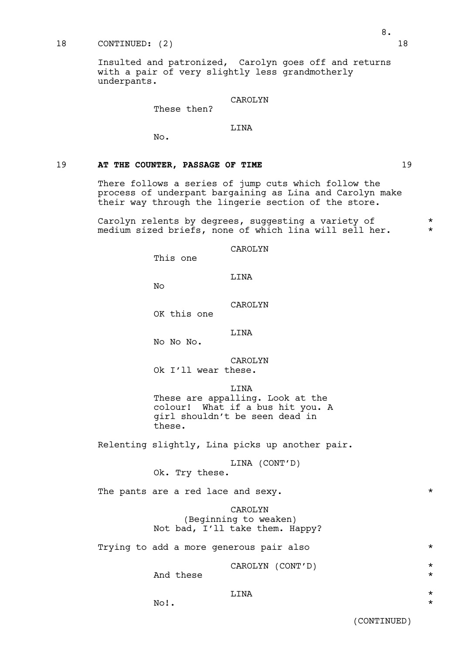#### 18 CONTINUED: (2) 18

Insulted and patronized, Carolyn goes off and returns with a pair of very slightly less grandmotherly underpants.

# CAROLYN

These then?

# LINA

No.

# 19 **AT THE COUNTER, PASSAGE OF TIME** 19

There follows a series of jump cuts which follow the process of underpant bargaining as Lina and Carolyn make their way through the lingerie section of the store.

Carolyn relents by degrees, suggesting a variety of \* medium sized briefs, none of which lina will sell her.  $*$ 

CAROLYN

This one

# LINA

 $N<sub>O</sub>$ 

CAROLYN OK this one

LINA

No No No.

CAROLYN Ok I'll wear these.

**T.TNA** 

These are appalling. Look at the colour! What if a bus hit you. A girl shouldn't be seen dead in these.

Relenting slightly, Lina picks up another pair.

LINA (CONT'D) Ok. Try these.

The pants are a red lace and sexy.  $\star$ 

CAROLYN (Beginning to weaken) Not bad, I'll take them. Happy?

Trying to add a more generous pair also \*

# CAROLYN (CONT'D) \*

And these  $\star$ 

# LINA  $\star$

 $\mathbb{N} \circ !$ .  $\star$ 

(CONTINUED)

8.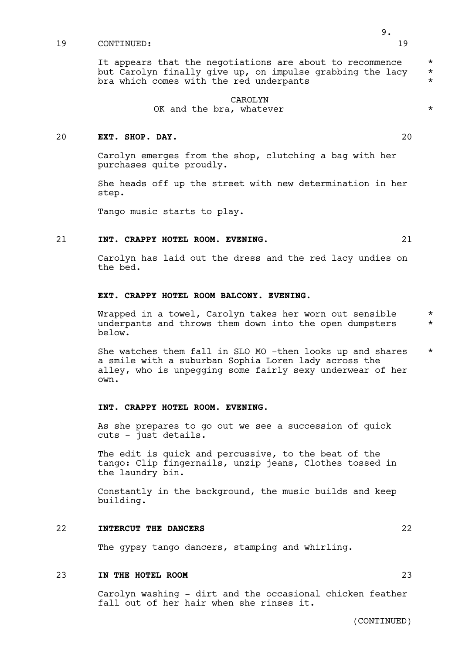It appears that the negotiations are about to recommence  $*$ but Carolyn finally give up, on impulse grabbing the lacy \* bra which comes with the red underpants

#### CAROLYN OK and the bra, whatever  $*$

#### 20 **EXT. SHOP. DAY.** 20

Carolyn emerges from the shop, clutching a bag with her purchases quite proudly.

She heads off up the street with new determination in her step.

Tango music starts to play.

#### 21 **INT. CRAPPY HOTEL ROOM. EVENING.** 21

Carolyn has laid out the dress and the red lacy undies on the bed.

# **EXT. CRAPPY HOTEL ROOM BALCONY. EVENING.**

Wrapped in a towel, Carolyn takes her worn out sensible \* underpants and throws them down into the open dumpsters  $*$ below.

She watches them fall in SLO MO -then looks up and shares \* a smile with a suburban Sophia Loren lady across the alley, who is unpegging some fairly sexy underwear of her own.

#### **INT. CRAPPY HOTEL ROOM. EVENING.**

As she prepares to go out we see a succession of quick cuts - just details.

The edit is quick and percussive, to the beat of the tango: Clip fingernails, unzip jeans, Clothes tossed in the laundry bin.

Constantly in the background, the music builds and keep building.

#### 22 **INTERCUT THE DANCERS** 22

The gypsy tango dancers, stamping and whirling.

# 23 **IN THE HOTEL ROOM** 23

Carolyn washing - dirt and the occasional chicken feather fall out of her hair when she rinses it.

(CONTINUED)

9.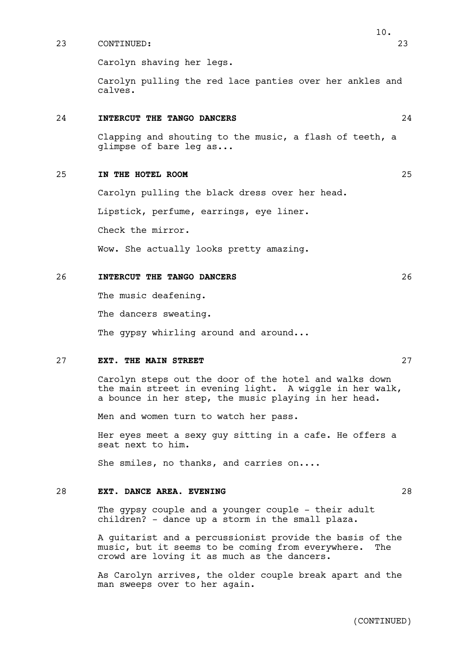Carolyn shaving her legs.

Carolyn pulling the red lace panties over her ankles and calves.

#### 24 **INTERCUT THE TANGO DANCERS** 24

Clapping and shouting to the music, a flash of teeth, a glimpse of bare leg as...

#### 25 **IN THE HOTEL ROOM** 25

Carolyn pulling the black dress over her head.

Lipstick, perfume, earrings, eye liner.

Check the mirror.

Wow. She actually looks pretty amazing.

#### 26 **INTERCUT THE TANGO DANCERS** 26

The music deafening.

The dancers sweating.

The gypsy whirling around and around...

#### 27 **EXT. THE MAIN STREET** 27

Carolyn steps out the door of the hotel and walks down the main street in evening light. A wiggle in her walk, a bounce in her step, the music playing in her head.

Men and women turn to watch her pass.

Her eyes meet a sexy guy sitting in a cafe. He offers a seat next to him.

She smiles, no thanks, and carries on....

# 28 **EXT. DANCE AREA. EVENING** 28

The gypsy couple and a younger couple - their adult children? - dance up a storm in the small plaza.

A guitarist and a percussionist provide the basis of the music, but it seems to be coming from everywhere. The crowd are loving it as much as the dancers.

As Carolyn arrives, the older couple break apart and the man sweeps over to her again.